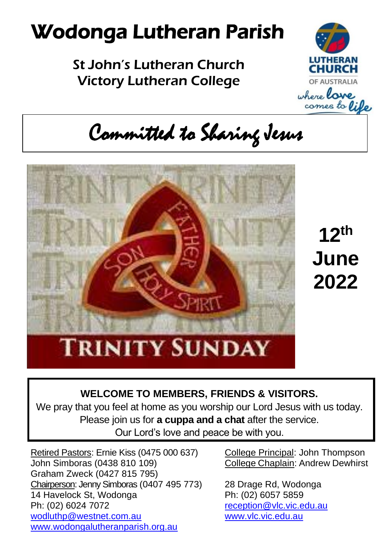# Wodonga Lutheran Parish

### St John's Lutheran Church Victory Lutheran College



Committed to Sharing Jesus



**12th June 2022**

#### **WELCOME TO MEMBERS, FRIENDS & VISITORS.**

We pray that you feel at home as you worship our Lord Jesus with us today. Please join us for **a cuppa and a chat** after the service. Our Lord's love and peace be with you.

Retired Pastors: Ernie Kiss (0475 000 637) College Principal: John Thompson John Simboras (0438 810 109) College Chaplain: Andrew Dewhirst Graham Zweck (0427 815 795) Chairperson: Jenny Simboras (0407 495 773) 28 Drage Rd, Wodonga 14 Havelock St, Wodonga<br>
Ph: (02) 6024 7072 end and all reception @vlc.vic.el [wodluthp@westnet.com.au](mailto:wodluthp@%20westnet.com.au) [www.vlc.vic.edu.au](http://www.vlc.vic.edu.au/) [www.wodongalutheranparish.org.au](http://www.wodongalutheranparish.org.au/)

[reception@vlc.vic.edu.au](mailto:reception@vlc.vic.edu.au)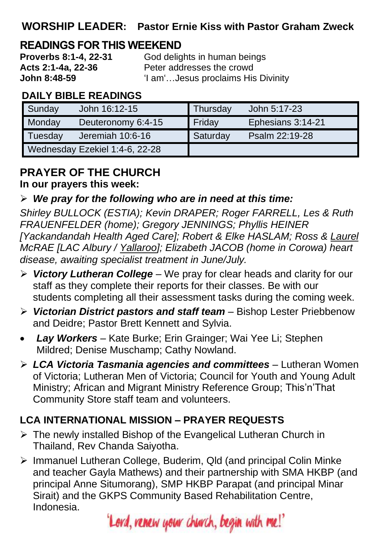#### **WORSHIP LEADER: Pastor Ernie Kiss with Pastor Graham Zweck**

## **READINGS FOR THIS WEEKEND**<br>**Proverbs 8:1-4, 22-31** God delig

**Proverbs 8:1-4, 22-31** God delights in human beings<br>**Acts 2:1-4a. 22-36** Peter addresses the crowd Peter addresses the crowd **John 8:48-59** 'I am'…Jesus proclaims His Divinity

#### **DAILY BIBLE READINGS**

| Sunday                         | John 16:12-15      | Thursday | John 5:17-23      |
|--------------------------------|--------------------|----------|-------------------|
| Monday                         | Deuteronomy 6:4-15 | Friday   | Ephesians 3:14-21 |
| Tuesday                        | Jeremiah 10:6-16   | Saturday | Psalm 22:19-28    |
| Wednesday Ezekiel 1:4-6, 22-28 |                    |          |                   |

#### **PRAYER OF THE CHURCH In our prayers this week:**

#### ➢ *We pray for the following who are in need at this time:*

*Shirley BULLOCK (ESTIA); Kevin DRAPER; Roger FARRELL, Les & Ruth FRAUENFELDER (home); Gregory JENNINGS; Phyllis HEINER [Yackandandah Health Aged Care]; Robert & Elke HASLAM; Ross & Laurel McRAE [LAC Albury / Yallaroo]; Elizabeth JACOB (home in Corowa) heart disease, awaiting specialist treatment in June/July.*

- ➢ *Victory Lutheran College* We pray for clear heads and clarity for our staff as they complete their reports for their classes. Be with our students completing all their assessment tasks during the coming week.
- ➢ *Victorian District pastors and staff team* Bishop Lester Priebbenow and Deidre; Pastor Brett Kennett and Sylvia.
- *Lay Workers* Kate Burke; Erin Grainger; Wai Yee Li; Stephen Mildred; Denise Muschamp; Cathy Nowland.
- ➢ *LCA Victoria Tasmania agencies and committees* Lutheran Women of Victoria; Lutheran Men of Victoria; Council for Youth and Young Adult Ministry; African and Migrant Ministry Reference Group; This'n'That Community Store staff team and volunteers.

#### **LCA INTERNATIONAL MISSION – PRAYER REQUESTS**

- ➢ The newly installed Bishop of the Evangelical Lutheran Church in Thailand, Rev Chanda Saiyotha.
- ➢ Immanuel Lutheran College, Buderim, Qld (and principal Colin Minke and teacher Gayla Mathews) and their partnership with SMA HKBP (and principal Anne Situmorang), SMP HKBP Parapat (and principal Minar Sirait) and the GKPS Community Based Rehabilitation Centre, Indonesia.

'Lord, renew your church, begin with me!'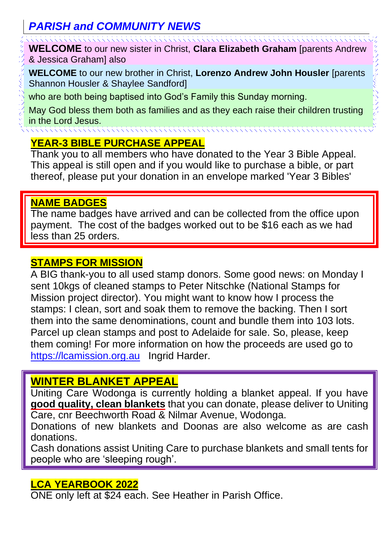#### *PARISH and COMMUNITY NEWS*

**WELCOME** to our new sister in Christ, **Clara Elizabeth Graham** [parents Andrew & Jessica Graham] also

**WELCOME** to our new brother in Christ, **Lorenzo Andrew John Housler** [parents Shannon Housler & Shaylee Sandford]

who are both being baptised into God's Family this Sunday morning.

May God bless them both as families and as they each raise their children trusting in the Lord Jesus.

#### **YEAR-3 BIBLE PURCHASE APPEAL**

Thank you to all members who have donated to the Year 3 Bible Appeal. This appeal is still open and if you would like to purchase a bible, or part thereof, please put your donation in an envelope marked 'Year 3 Bibles'

#### **NAME BADGES**

The name badges have arrived and can be collected from the office upon payment. The cost of the badges worked out to be \$16 each as we had less than 25 orders.

#### **STAMPS FOR MISSION**

A BIG thank-you to all used stamp donors. Some good news: on Monday I sent 10kgs of cleaned stamps to Peter Nitschke (National Stamps for Mission project director). You might want to know how I process the stamps: I clean, sort and soak them to remove the backing. Then I sort them into the same denominations, count and bundle them into 103 lots. Parcel up clean stamps and post to Adelaide for sale. So, please, keep them coming! For more information on how the proceeds are used go to [https://lcamission.org.au](https://lcamission.org.au/) Ingrid Harder.

#### **WINTER BLANKET APPEAL**

Uniting Care Wodonga is currently holding a blanket appeal. If you have **good quality, clean blankets** that you can donate, please deliver to Uniting Care, cnr Beechworth Road & Nilmar Avenue, Wodonga.

Donations of new blankets and Doonas are also welcome as are cash donations.

Cash donations assist Uniting Care to purchase blankets and small tents for people who are 'sleeping rough'.

#### **LCA YEARBOOK 2022**

ONE only left at \$24 each. See Heather in Parish Office.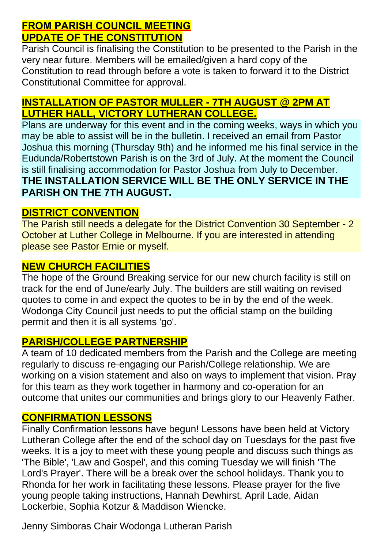#### **FROM PARISH COUNCIL MEETING UPDATE OF THE CONSTITUTION**

Parish Council is finalising the Constitution to be presented to the Parish in the very near future. Members will be emailed/given a hard copy of the Constitution to read through before a vote is taken to forward it to the District Constitutional Committee for approval.

#### **INSTALLATION OF PASTOR MULLER - 7TH AUGUST @ 2PM AT LUTHER HALL, VICTORY LUTHERAN COLLEGE.**

Plans are underway for this event and in the coming weeks, ways in which you may be able to assist will be in the bulletin. I received an email from Pastor Joshua this morning (Thursday 9th) and he informed me his final service in the Eudunda/Robertstown Parish is on the 3rd of July. At the moment the Council is still finalising accommodation for Pastor Joshua from July to December. **THE INSTALLATION SERVICE WILL BE THE ONLY SERVICE IN THE PARISH ON THE 7TH AUGUST.**

#### **DISTRICT CONVENTION**

The Parish still needs a delegate for the District Convention 30 September - 2 October at Luther College in Melbourne. If you are interested in attending please see Pastor Ernie or myself.

#### **NEW CHURCH FACILITIES**

The hope of the Ground Breaking service for our new church facility is still on track for the end of June/early July. The builders are still waiting on revised quotes to come in and expect the quotes to be in by the end of the week. Wodonga City Council just needs to put the official stamp on the building permit and then it is all systems 'go'.

#### **PARISH/COLLEGE PARTNERSHIP**

A team of 10 dedicated members from the Parish and the College are meeting regularly to discuss re-engaging our Parish/College relationship. We are working on a vision statement and also on ways to implement that vision. Pray for this team as they work together in harmony and co-operation for an outcome that unites our communities and brings glory to our Heavenly Father.

#### **CONFIRMATION LESSONS**

Finally Confirmation lessons have begun! Lessons have been held at Victory Lutheran College after the end of the school day on Tuesdays for the past five weeks. It is a joy to meet with these young people and discuss such things as 'The Bible', 'Law and Gospel', and this coming Tuesday we will finish 'The Lord's Prayer'. There will be a break over the school holidays. Thank you to Rhonda for her work in facilitating these lessons. Please prayer for the five young people taking instructions, Hannah Dewhirst, April Lade, Aidan Lockerbie, Sophia Kotzur & Maddison Wiencke.

Jenny Simboras Chair Wodonga Lutheran Parish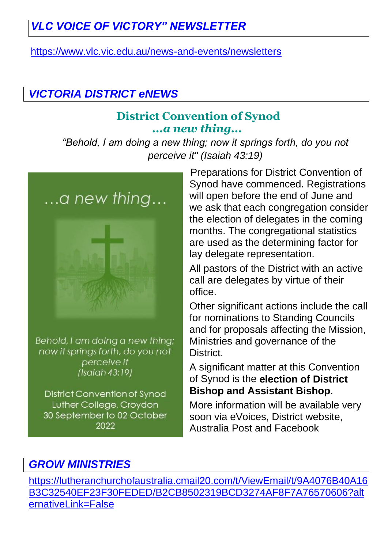### *VLC VOICE OF VICTORY" NEWSLETTER*

<https://www.vlc.vic.edu.au/news-and-events/newsletters>

#### *VICTORIA DISTRICT eNEWS*

#### **District Convention of Synod** *...a new thing...*

*"Behold, I am doing a new thing; now it springs forth, do you not perceive it" (Isaiah 43:19)*



Behold, I am doing a new thing; now it springs forth, do you not perceive it  $(Isaiah 43:19)$ 

**District Convention of Synod** Luther College, Croydon 30 September to 02 October 2022

Preparations for District Convention of Synod have commenced. Registrations will open before the end of June and we ask that each congregation consider the election of delegates in the coming months. The congregational statistics are used as the determining factor for lay delegate representation.

All pastors of the District with an active call are delegates by virtue of their office.

Other significant actions include the call for nominations to Standing Councils and for proposals affecting the Mission, Ministries and governance of the **District** 

A significant matter at this Convention of Synod is the **election of District Bishop and Assistant Bishop**.

More information will be available very soon via eVoices, District website, Australia Post and Facebook

#### *GROW MINISTRIES*

[https://lutheranchurchofaustralia.cmail20.com/t/ViewEmail/t/9A4076B40A16](https://lutheranchurchofaustralia.cmail20.com/t/ViewEmail/t/9A4076B40A16B3C32540EF23F30FEDED/B2CB8502319BCD3274AF8F7A76570606?alternativeLink=False) [B3C32540EF23F30FEDED/B2CB8502319BCD3274AF8F7A76570606?alt](https://lutheranchurchofaustralia.cmail20.com/t/ViewEmail/t/9A4076B40A16B3C32540EF23F30FEDED/B2CB8502319BCD3274AF8F7A76570606?alternativeLink=False) [ernativeLink=False](https://lutheranchurchofaustralia.cmail20.com/t/ViewEmail/t/9A4076B40A16B3C32540EF23F30FEDED/B2CB8502319BCD3274AF8F7A76570606?alternativeLink=False)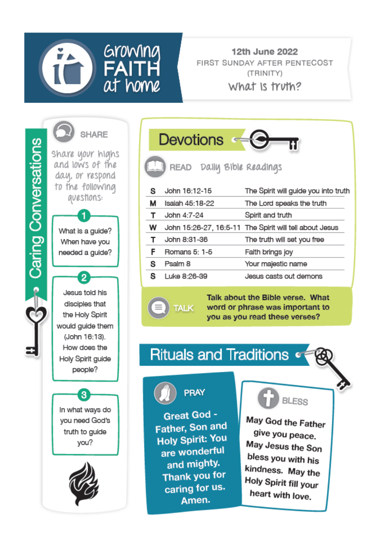

12th June 2022 FIRST SUNDAY AFTER PENTECOST (TRINITY)

What is truth?

**B** Caring Conversations



What is a guide? When have you needed a guide?

2

Jesus told his disciples that the Holy Spirit would guide them (John 16:13). How does the Holy Spirit guide people?

In what ways do you need God's truth to guide you?

A



Devotions - O READ Daily Bible Readings The Spirit will guide you into truth John 16:12-15 s Isaiah 45:18-22 м The Lord speaks the truth T John 4:7-24 Spirit and truth w John 15:26-27, 16:5-11 The Spirit will tell about Jesus

John 8:31-36 The truth will set you free T. F. Romans 5: 1-5 Faith brings joy Psalm 8 s Your majestic name Luke 8:26-39 Jesus casts out demons s.

> Talk about the Bible verse. What word or phrase was important to you as you read these verses?

## **Rituals and Traditions of**



**TALK** 

Great God -Father, Son and **Holy Spirit: You** are wonderful and mighty. Thank you for caring for us. Amen.



May God the Father give you peace. May Jesus the Son bless you with his kindness. May the Holy Spirit fill your heart with love.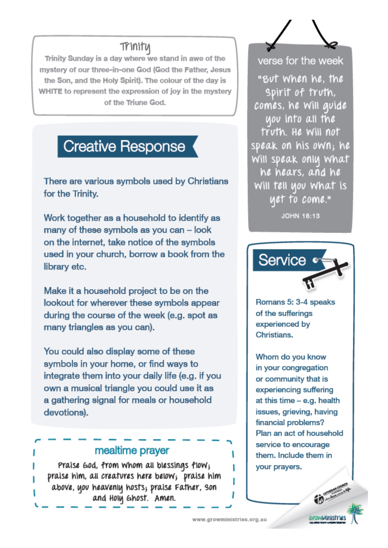#### Trinitu

Trinity Sunday is a day where we stand in awe of the mystery of our three-in-one God (God the Father, Jesus the Son, and the Holy Spirit). The colour of the day is WHITE to represent the expression of lov in the mystery of the Triune God.

## **Creative Response**

There are various symbols used by Christians for the Trinity.

Work together as a household to identify as many of these symbols as you can - look on the internet, take notice of the symbols used in your church, borrow a book from the library etc.

Make it a household project to be on the lookout for wherever these symbols appear during the course of the week (e.g. spot as many triangles as you can).

You could also display some of these symbols in your home, or find ways to integrate them into your daily life (e.g. if you own a musical triangle you could use it as a gathering signal for meals or household devotions).

#### mealtime prayer

Praise God. from whom all blessings flow; praise him, all creatures here below; praise him above, you heavenly hosts; praise Father, son and Holy Ghost. Amen.

verse for the week

"But when he, the Spirit of truth. comes, he will avide uou into all the truth. He will not speak on his own; he Will speak only What he hears, and he Will tell you what is yet to come."

**JOHN 16:13** 



Romans 5: 3-4 speaks of the sufferings experienced by **Christians** 

Whom do you know in your congregation or community that is experiencing suffering at this time - e.g. health issues, grieving, having financial problems? Plan an act of household service to encourage them. Include them in your prayers.

*<u>GrawMinish</u>* 

www.growministries.org.su